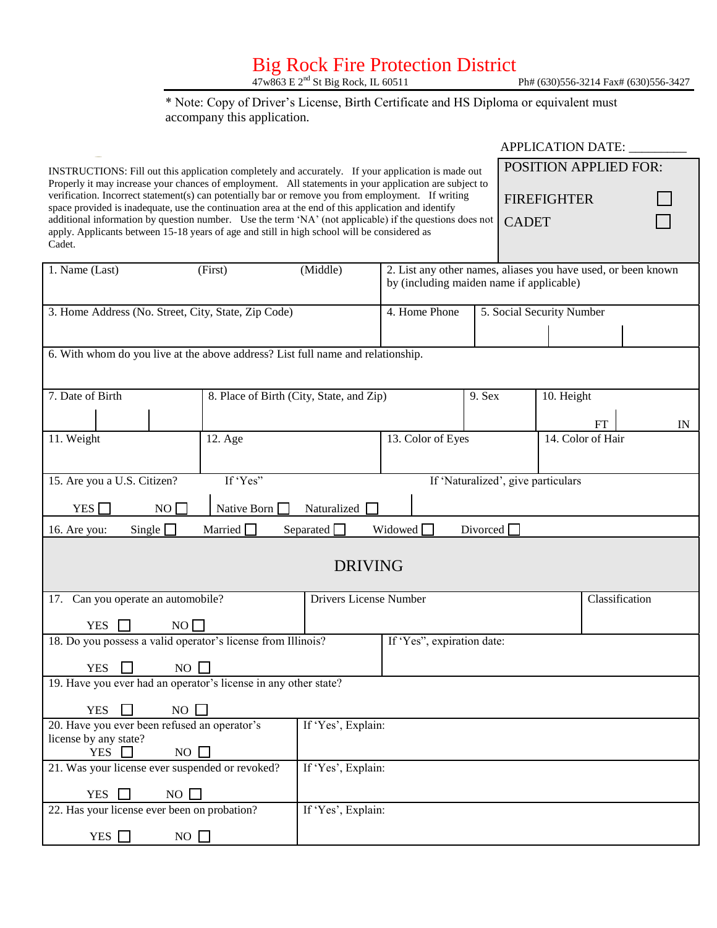## Big Rock Fire Protection District

47w863 E 2<sup>nd</sup> St Big Rock, IL 60511 Ph# (630)556-3214 Fax# (630)556-3427

#### \* Note: Copy of Driver's License, Birth Certificate and HS Diploma or equivalent must accompany this application.

|                                                                                                                                                                                                                                                                                                                     |                                             |                                          |                                            |                                    | <b>APPLICATION DATE:</b>                                      |                |  |  |
|---------------------------------------------------------------------------------------------------------------------------------------------------------------------------------------------------------------------------------------------------------------------------------------------------------------------|---------------------------------------------|------------------------------------------|--------------------------------------------|------------------------------------|---------------------------------------------------------------|----------------|--|--|
| INSTRUCTIONS: Fill out this application completely and accurately. If your application is made out                                                                                                                                                                                                                  |                                             | <b>POSITION APPLIED FOR:</b>             |                                            |                                    |                                                               |                |  |  |
| Properly it may increase your chances of employment. All statements in your application are subject to<br>verification. Incorrect statement(s) can potentially bar or remove you from employment. If writing<br>space provided is inadequate, use the continuation area at the end of this application and identify |                                             |                                          |                                            |                                    | <b>FIREFIGHTER</b>                                            |                |  |  |
| additional information by question number. Use the term 'NA' (not applicable) if the questions does not<br>apply. Applicants between 15-18 years of age and still in high school will be considered as<br>Cadet.                                                                                                    |                                             |                                          |                                            | <b>CADET</b>                       |                                                               |                |  |  |
| 1. Name (Last)                                                                                                                                                                                                                                                                                                      | (First)                                     | (Middle)                                 |                                            |                                    | 2. List any other names, aliases you have used, or been known |                |  |  |
|                                                                                                                                                                                                                                                                                                                     |                                             |                                          | by (including maiden name if applicable)   |                                    |                                                               |                |  |  |
| 3. Home Address (No. Street, City, State, Zip Code)                                                                                                                                                                                                                                                                 |                                             |                                          | 4. Home Phone<br>5. Social Security Number |                                    |                                                               |                |  |  |
|                                                                                                                                                                                                                                                                                                                     |                                             |                                          |                                            |                                    |                                                               |                |  |  |
| 6. With whom do you live at the above address? List full name and relationship.                                                                                                                                                                                                                                     |                                             |                                          |                                            |                                    |                                                               |                |  |  |
|                                                                                                                                                                                                                                                                                                                     |                                             |                                          |                                            |                                    |                                                               |                |  |  |
| 7. Date of Birth                                                                                                                                                                                                                                                                                                    |                                             | 8. Place of Birth (City, State, and Zip) |                                            | 9. Sex                             | 10. Height                                                    |                |  |  |
|                                                                                                                                                                                                                                                                                                                     |                                             |                                          |                                            |                                    | FT                                                            | IN             |  |  |
| 11. Weight                                                                                                                                                                                                                                                                                                          | 12. Age                                     |                                          | 13. Color of Eyes                          |                                    | 14. Color of Hair                                             |                |  |  |
|                                                                                                                                                                                                                                                                                                                     |                                             |                                          |                                            |                                    |                                                               |                |  |  |
| 15. Are you a U.S. Citizen?                                                                                                                                                                                                                                                                                         | If 'Yes"                                    |                                          |                                            | If 'Naturalized', give particulars |                                                               |                |  |  |
| YES <sup>[</sup>                                                                                                                                                                                                                                                                                                    | $NO$ $\Box$<br>Native Born [<br>Naturalized |                                          |                                            |                                    |                                                               |                |  |  |
| Single $\Box$<br>16. Are you:                                                                                                                                                                                                                                                                                       | Married L                                   | Separated $\Box$                         | Widowed $\Box$                             | Divorced $\Box$                    |                                                               |                |  |  |
|                                                                                                                                                                                                                                                                                                                     |                                             |                                          |                                            |                                    |                                                               |                |  |  |
|                                                                                                                                                                                                                                                                                                                     |                                             | <b>DRIVING</b>                           |                                            |                                    |                                                               |                |  |  |
| 17. Can you operate an automobile?<br>Drivers License Number                                                                                                                                                                                                                                                        |                                             |                                          |                                            |                                    |                                                               | Classification |  |  |
| <b>YES</b>                                                                                                                                                                                                                                                                                                          | NO                                          |                                          |                                            |                                    |                                                               |                |  |  |
| 18. Do you possess a valid operator's license from Illinois?                                                                                                                                                                                                                                                        |                                             |                                          | If 'Yes", expiration date:                 |                                    |                                                               |                |  |  |
| $\overline{\phantom{0}}$<br>$\overline{\phantom{0}}$<br>NO<br><b>YES</b>                                                                                                                                                                                                                                            |                                             |                                          |                                            |                                    |                                                               |                |  |  |
| 19. Have you ever had an operator's license in any other state?                                                                                                                                                                                                                                                     |                                             |                                          |                                            |                                    |                                                               |                |  |  |
| <b>YES</b>                                                                                                                                                                                                                                                                                                          | NO                                          |                                          |                                            |                                    |                                                               |                |  |  |
| 20. Have you ever been refused an operator's                                                                                                                                                                                                                                                                        | If 'Yes', Explain:                          |                                          |                                            |                                    |                                                               |                |  |  |
| license by any state?<br><b>YES</b>                                                                                                                                                                                                                                                                                 | NO                                          |                                          |                                            |                                    |                                                               |                |  |  |
| If 'Yes', Explain:<br>21. Was your license ever suspended or revoked?                                                                                                                                                                                                                                               |                                             |                                          |                                            |                                    |                                                               |                |  |  |
| <b>YES</b><br>NO                                                                                                                                                                                                                                                                                                    |                                             |                                          |                                            |                                    |                                                               |                |  |  |
| If 'Yes', Explain:<br>22. Has your license ever been on probation?                                                                                                                                                                                                                                                  |                                             |                                          |                                            |                                    |                                                               |                |  |  |
| YES $\Box$                                                                                                                                                                                                                                                                                                          | $NO$ $\Box$                                 |                                          |                                            |                                    |                                                               |                |  |  |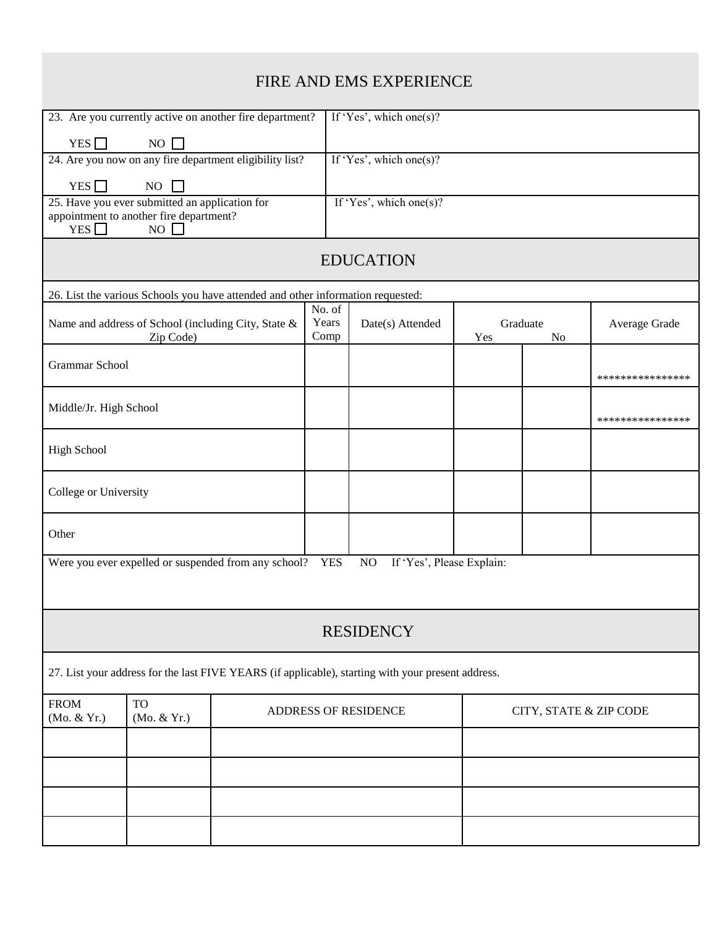| FIRE AND EMS EXPERIENCE                                                                                                                           |                         |                         |                 |                        |                  |  |  |  |  |
|---------------------------------------------------------------------------------------------------------------------------------------------------|-------------------------|-------------------------|-----------------|------------------------|------------------|--|--|--|--|
| 23. Are you currently active on another fire department?                                                                                          |                         |                         |                 |                        |                  |  |  |  |  |
| YES $\Box$<br>$NO$ $\Box$                                                                                                                         |                         |                         |                 |                        |                  |  |  |  |  |
| 24. Are you now on any fire department eligibility list?                                                                                          |                         | If 'Yes', which one(s)? |                 |                        |                  |  |  |  |  |
| YES $\Box$<br>NO                                                                                                                                  |                         |                         |                 |                        |                  |  |  |  |  |
| 25. Have you ever submitted an application for<br>If 'Yes', which one(s)?<br>appointment to another fire department?<br>YES $\Box$<br>$NO$ $\Box$ |                         |                         |                 |                        |                  |  |  |  |  |
| <b>EDUCATION</b>                                                                                                                                  |                         |                         |                 |                        |                  |  |  |  |  |
| 26. List the various Schools you have attended and other information requested:                                                                   |                         |                         |                 |                        |                  |  |  |  |  |
| Name and address of School (including City, State &<br>Zip Code)                                                                                  | No. of<br>Years<br>Comp | Date(s) Attended        | Graduate<br>Yes | N <sub>o</sub>         | Average Grade    |  |  |  |  |
| <b>Grammar School</b>                                                                                                                             |                         |                         |                 |                        | **************** |  |  |  |  |
| Middle/Jr. High School                                                                                                                            |                         |                         |                 |                        | **************** |  |  |  |  |
| <b>High School</b>                                                                                                                                |                         |                         |                 |                        |                  |  |  |  |  |
| College or University                                                                                                                             |                         |                         |                 |                        |                  |  |  |  |  |
| Other                                                                                                                                             |                         |                         |                 |                        |                  |  |  |  |  |
| If 'Yes', Please Explain:<br>Were you ever expelled or suspended from any school? YES<br>NO                                                       |                         |                         |                 |                        |                  |  |  |  |  |
|                                                                                                                                                   |                         | <b>RESIDENCY</b>        |                 |                        |                  |  |  |  |  |
| 27. List your address for the last FIVE YEARS (if applicable), starting with your present address.                                                |                         |                         |                 |                        |                  |  |  |  |  |
| <b>TO</b><br><b>FROM</b><br>(Mo. & Yr.)<br>(Mo. & Yr.)                                                                                            |                         | ADDRESS OF RESIDENCE    |                 | CITY, STATE & ZIP CODE |                  |  |  |  |  |
|                                                                                                                                                   |                         |                         |                 |                        |                  |  |  |  |  |
|                                                                                                                                                   |                         |                         |                 |                        |                  |  |  |  |  |
|                                                                                                                                                   |                         |                         |                 |                        |                  |  |  |  |  |
|                                                                                                                                                   |                         |                         |                 |                        |                  |  |  |  |  |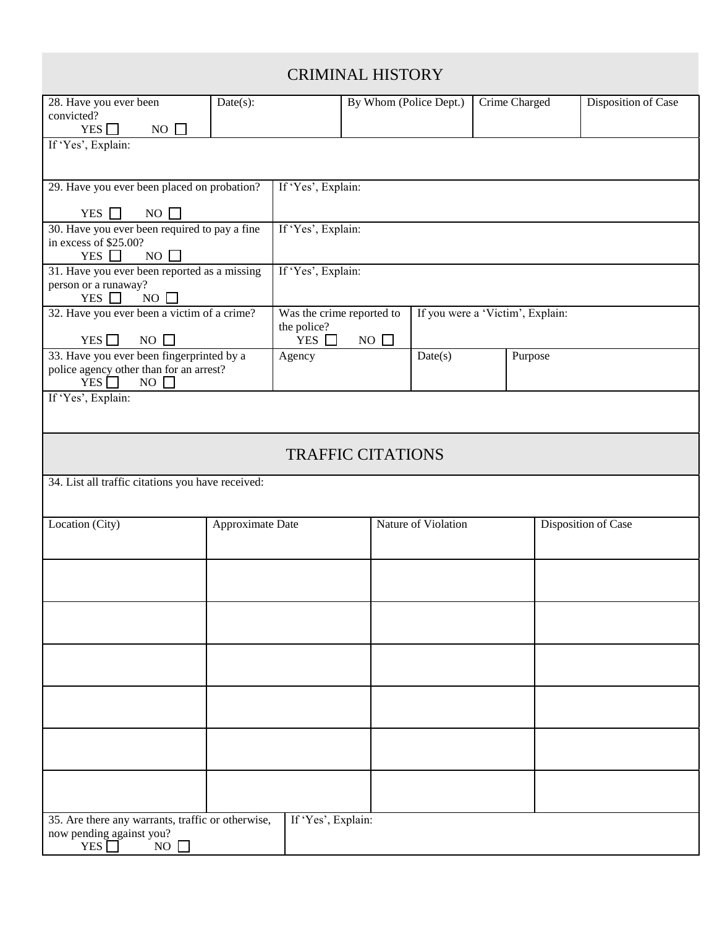### CRIMINAL HISTORY

|                                                   |                  |                    | unin yı ilik ile          |                                  |               |         |                            |  |  |  |
|---------------------------------------------------|------------------|--------------------|---------------------------|----------------------------------|---------------|---------|----------------------------|--|--|--|
| 28. Have you ever been                            | Date(s):         |                    | By Whom (Police Dept.)    |                                  | Crime Charged |         | Disposition of Case        |  |  |  |
| convicted?                                        |                  |                    |                           |                                  |               |         |                            |  |  |  |
| YES<br>$NO$ $\Box$                                |                  |                    |                           |                                  |               |         |                            |  |  |  |
| If 'Yes', Explain:                                |                  |                    |                           |                                  |               |         |                            |  |  |  |
|                                                   |                  |                    |                           |                                  |               |         |                            |  |  |  |
|                                                   |                  |                    |                           |                                  |               |         |                            |  |  |  |
| 29. Have you ever been placed on probation?       |                  | If 'Yes', Explain: |                           |                                  |               |         |                            |  |  |  |
|                                                   |                  |                    |                           |                                  |               |         |                            |  |  |  |
| YES $\Box$<br>NO $\Box$                           |                  |                    |                           |                                  |               |         |                            |  |  |  |
| 30. Have you ever been required to pay a fine     |                  |                    | If 'Yes', Explain:        |                                  |               |         |                            |  |  |  |
| in excess of \$25.00?                             |                  |                    |                           |                                  |               |         |                            |  |  |  |
| YES $\Box$<br>NO $\Box$                           |                  |                    |                           |                                  |               |         |                            |  |  |  |
| 31. Have you ever been reported as a missing      |                  | If 'Yes', Explain: |                           |                                  |               |         |                            |  |  |  |
| person or a runaway?<br>YES $\Box$<br>NO          |                  |                    |                           |                                  |               |         |                            |  |  |  |
|                                                   |                  |                    |                           |                                  |               |         |                            |  |  |  |
| 32. Have you ever been a victim of a crime?       |                  | the police?        | Was the crime reported to | If you were a 'Victim', Explain: |               |         |                            |  |  |  |
| YES $\Box$<br>$NO$ $\Box$                         |                  | YES $\Box$         | NO $\Box$                 |                                  |               |         |                            |  |  |  |
| 33. Have you ever been fingerprinted by a         |                  | Agency             |                           | Date(s)                          |               | Purpose |                            |  |  |  |
| police agency other than for an arrest?           |                  |                    |                           |                                  |               |         |                            |  |  |  |
| YES <sup>[</sup><br>$NO$ $\Box$                   |                  |                    |                           |                                  |               |         |                            |  |  |  |
| If 'Yes', Explain:                                |                  |                    |                           |                                  |               |         |                            |  |  |  |
|                                                   |                  |                    |                           |                                  |               |         |                            |  |  |  |
|                                                   |                  |                    |                           |                                  |               |         |                            |  |  |  |
|                                                   |                  |                    |                           |                                  |               |         |                            |  |  |  |
|                                                   |                  |                    | <b>TRAFFIC CITATIONS</b>  |                                  |               |         |                            |  |  |  |
|                                                   |                  |                    |                           |                                  |               |         |                            |  |  |  |
| 34. List all traffic citations you have received: |                  |                    |                           |                                  |               |         |                            |  |  |  |
|                                                   |                  |                    |                           |                                  |               |         |                            |  |  |  |
|                                                   |                  |                    |                           |                                  |               |         |                            |  |  |  |
| Location (City)                                   | Approximate Date |                    | Nature of Violation       |                                  |               |         | <b>Disposition of Case</b> |  |  |  |
|                                                   |                  |                    |                           |                                  |               |         |                            |  |  |  |
|                                                   |                  |                    |                           |                                  |               |         |                            |  |  |  |
|                                                   |                  |                    |                           |                                  |               |         |                            |  |  |  |
|                                                   |                  |                    |                           |                                  |               |         |                            |  |  |  |
|                                                   |                  |                    |                           |                                  |               |         |                            |  |  |  |
|                                                   |                  |                    |                           |                                  |               |         |                            |  |  |  |
|                                                   |                  |                    |                           |                                  |               |         |                            |  |  |  |
|                                                   |                  |                    |                           |                                  |               |         |                            |  |  |  |
|                                                   |                  |                    |                           |                                  |               |         |                            |  |  |  |
|                                                   |                  |                    |                           |                                  |               |         |                            |  |  |  |
|                                                   |                  |                    |                           |                                  |               |         |                            |  |  |  |
|                                                   |                  |                    |                           |                                  |               |         |                            |  |  |  |
|                                                   |                  |                    |                           |                                  |               |         |                            |  |  |  |
|                                                   |                  |                    |                           |                                  |               |         |                            |  |  |  |
|                                                   |                  |                    |                           |                                  |               |         |                            |  |  |  |
|                                                   |                  |                    |                           |                                  |               |         |                            |  |  |  |
|                                                   |                  |                    |                           |                                  |               |         |                            |  |  |  |
|                                                   |                  |                    |                           |                                  |               |         |                            |  |  |  |
|                                                   |                  |                    |                           |                                  |               |         |                            |  |  |  |
| 35. Are there any warrants, traffic or otherwise, |                  | If 'Yes', Explain: |                           |                                  |               |         |                            |  |  |  |
| now pending against you?                          |                  |                    |                           |                                  |               |         |                            |  |  |  |
| NO<br>YES <sup> </sup>                            |                  |                    |                           |                                  |               |         |                            |  |  |  |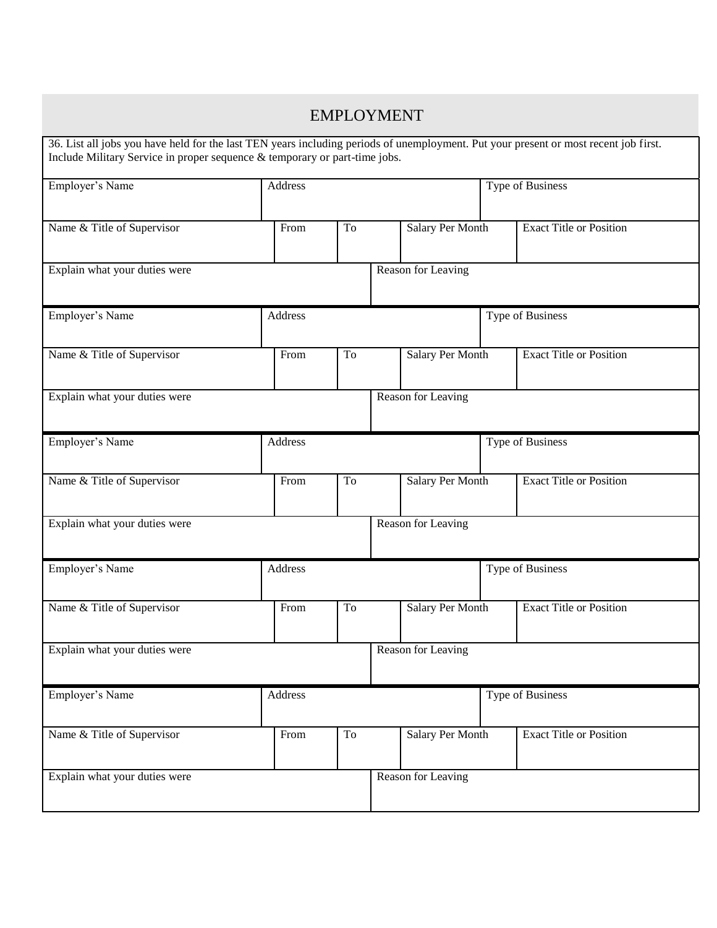| <b>EMPLOYMENT</b>                                                                                                                                                                                                  |                                |    |                                                    |                                |                  |                                |  |  |
|--------------------------------------------------------------------------------------------------------------------------------------------------------------------------------------------------------------------|--------------------------------|----|----------------------------------------------------|--------------------------------|------------------|--------------------------------|--|--|
| 36. List all jobs you have held for the last TEN years including periods of unemployment. Put your present or most recent job first.<br>Include Military Service in proper sequence & temporary or part-time jobs. |                                |    |                                                    |                                |                  |                                |  |  |
| Employer's Name                                                                                                                                                                                                    | Address                        |    |                                                    |                                | Type of Business |                                |  |  |
| Name & Title of Supervisor                                                                                                                                                                                         | From<br>To<br>Salary Per Month |    |                                                    |                                |                  | <b>Exact Title or Position</b> |  |  |
| Explain what your duties were                                                                                                                                                                                      | Reason for Leaving             |    |                                                    |                                |                  |                                |  |  |
| Employer's Name                                                                                                                                                                                                    | Address                        |    |                                                    |                                |                  | Type of Business               |  |  |
| Name & Title of Supervisor                                                                                                                                                                                         | From                           | To | <b>Exact Title or Position</b><br>Salary Per Month |                                |                  |                                |  |  |
| Explain what your duties were<br>Reason for Leaving                                                                                                                                                                |                                |    |                                                    |                                |                  |                                |  |  |
| Employer's Name                                                                                                                                                                                                    | Address                        |    |                                                    |                                |                  | Type of Business               |  |  |
| Name & Title of Supervisor                                                                                                                                                                                         | To<br>From                     |    | Salary Per Month                                   | <b>Exact Title or Position</b> |                  |                                |  |  |
| Explain what your duties were                                                                                                                                                                                      | Reason for Leaving             |    |                                                    |                                |                  |                                |  |  |
| Employer's Name                                                                                                                                                                                                    | Address                        |    |                                                    |                                |                  | Type of Business               |  |  |
| Name & Title of Supervisor                                                                                                                                                                                         | From                           | To |                                                    | Salary Per Month               |                  | <b>Exact Title or Position</b> |  |  |
| Explain what your duties were<br>Reason for Leaving                                                                                                                                                                |                                |    |                                                    |                                |                  |                                |  |  |
| Employer's Name                                                                                                                                                                                                    | Address                        |    |                                                    |                                |                  | Type of Business               |  |  |
| Name & Title of Supervisor                                                                                                                                                                                         | From                           | To |                                                    | Salary Per Month               |                  | <b>Exact Title or Position</b> |  |  |
| Explain what your duties were                                                                                                                                                                                      |                                |    |                                                    | Reason for Leaving             |                  |                                |  |  |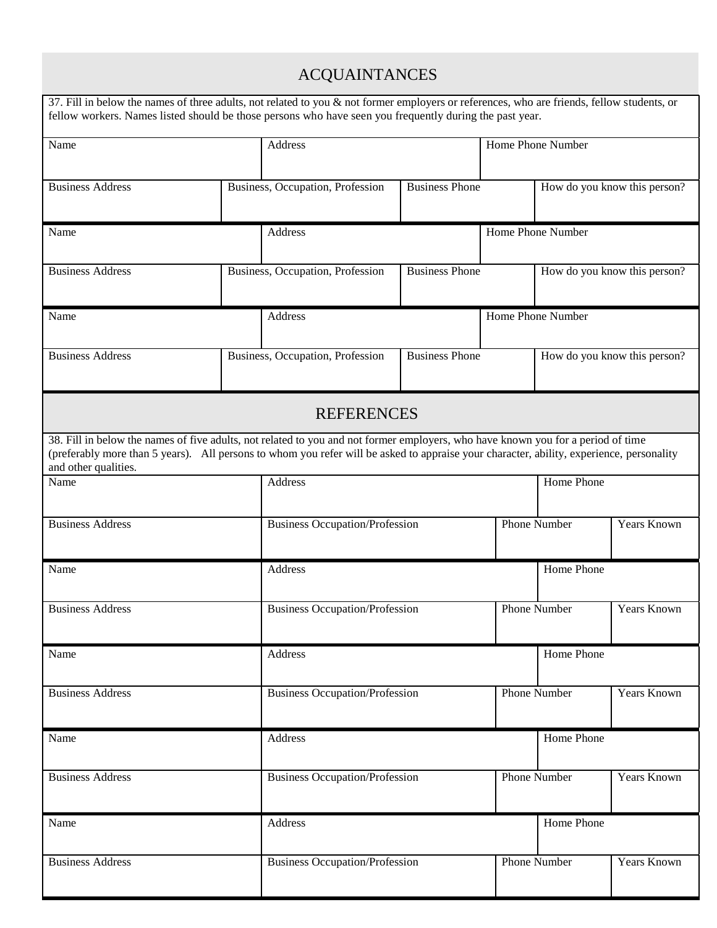# ACQUAINTANCES

| 37. Fill in below the names of three adults, not related to you & not former employers or references, who are friends, fellow students, or<br>fellow workers. Names listed should be those persons who have seen you frequently during the past year.                                                |         |                                       |                                    |                              |                              |             |  |
|------------------------------------------------------------------------------------------------------------------------------------------------------------------------------------------------------------------------------------------------------------------------------------------------------|---------|---------------------------------------|------------------------------------|------------------------------|------------------------------|-------------|--|
| Name                                                                                                                                                                                                                                                                                                 |         | Address                               | Home Phone Number                  |                              |                              |             |  |
| <b>Business Address</b>                                                                                                                                                                                                                                                                              |         | Business, Occupation, Profession      | <b>Business Phone</b>              | How do you know this person? |                              |             |  |
| Name                                                                                                                                                                                                                                                                                                 | Address |                                       | Home Phone Number                  |                              |                              |             |  |
| <b>Business Address</b>                                                                                                                                                                                                                                                                              |         | Business, Occupation, Profession      | <b>Business Phone</b>              | How do you know this person? |                              |             |  |
| Name                                                                                                                                                                                                                                                                                                 |         | Address                               |                                    |                              | Home Phone Number            |             |  |
| <b>Business Address</b>                                                                                                                                                                                                                                                                              |         | Business, Occupation, Profession      | <b>Business Phone</b>              |                              | How do you know this person? |             |  |
|                                                                                                                                                                                                                                                                                                      |         | <b>REFERENCES</b>                     |                                    |                              |                              |             |  |
| 38. Fill in below the names of five adults, not related to you and not former employers, who have known you for a period of time<br>(preferably more than 5 years). All persons to whom you refer will be asked to appraise your character, ability, experience, personality<br>and other qualities. |         |                                       |                                    |                              |                              |             |  |
| Name                                                                                                                                                                                                                                                                                                 |         | Address                               |                                    |                              | Home Phone                   |             |  |
| <b>Business Address</b>                                                                                                                                                                                                                                                                              |         | <b>Business Occupation/Profession</b> |                                    | <b>Phone Number</b>          | Years Known                  |             |  |
| Name                                                                                                                                                                                                                                                                                                 |         | Address                               |                                    | Home Phone                   |                              |             |  |
| <b>Business Address</b>                                                                                                                                                                                                                                                                              |         | <b>Business Occupation/Profession</b> |                                    | <b>Phone Number</b>          | Years Known                  |             |  |
| Name                                                                                                                                                                                                                                                                                                 |         | Address                               |                                    | Home Phone                   |                              |             |  |
| <b>Business Address</b>                                                                                                                                                                                                                                                                              |         | <b>Business Occupation/Profession</b> | <b>Phone Number</b><br>Years Known |                              |                              |             |  |
| Name                                                                                                                                                                                                                                                                                                 |         | Address                               |                                    | Home Phone                   |                              |             |  |
| <b>Business Address</b>                                                                                                                                                                                                                                                                              |         | <b>Business Occupation/Profession</b> |                                    |                              | <b>Phone Number</b>          | Years Known |  |
| Name                                                                                                                                                                                                                                                                                                 |         | Address                               |                                    | Home Phone                   |                              |             |  |
| <b>Business Address</b>                                                                                                                                                                                                                                                                              |         | <b>Business Occupation/Profession</b> |                                    | <b>Phone Number</b>          | Years Known                  |             |  |